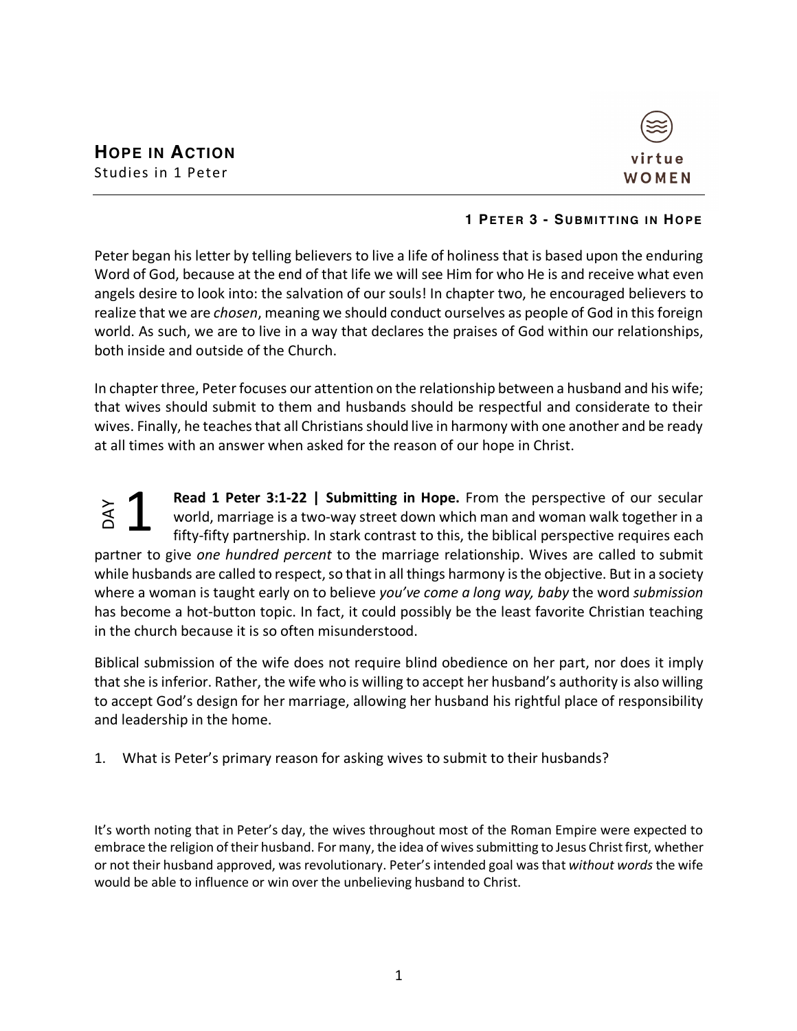

## **1 PETER 3 - SUBMITT ING IN HOPE**

Peter began his letter by telling believers to live a life of holiness that is based upon the enduring Word of God, because at the end of that life we will see Him for who He is and receive what even angels desire to look into: the salvation of our souls! In chapter two, he encouraged believers to realize that we are *chosen*, meaning we should conduct ourselves as people of God in this foreign world. As such, we are to live in a way that declares the praises of God within our relationships, both inside and outside of the Church.

In chapter three, Peter focuses our attention on the relationship between a husband and his wife; that wives should submit to them and husbands should be respectful and considerate to their wives. Finally, he teaches that all Christians should live in harmony with one another and be ready at all times with an answer when asked for the reason of our hope in Christ.

**Read 1 Peter 3:1-22 | Submitting in Hope.** From the perspective of our secular world, marriage is a two-way street down which man and woman walk together in a fifty-fifty partnership. In stark contrast to this, the biblical perspective requires each partner to give *one hundred percent* to the marriage relationship. Wives are called to submit while husbands are called to respect, so that in all things harmony is the objective. But in a society where a woman is taught early on to believe *you've come a long way, baby* the word *submission* has become a hot-button topic. In fact, it could possibly be the least favorite Christian teaching in the church because it is so often misunderstood. world, marriage is a two-way street down which man a<br>fifty-fifty partnership. In stark contrast to this, the bibli<br>partner to give one hundred percent to the marriage relationship<br>while husbands are called to respect, so t 1

Biblical submission of the wife does not require blind obedience on her part, nor does it imply that she is inferior. Rather, the wife who is willing to accept her husband's authority is also willing to accept God's design for her marriage, allowing her husband his rightful place of responsibility and leadership in the home.

1. What is Peter's primary reason for asking wives to submit to their husbands?

It's worth noting that in Peter's day, the wives throughout most of the Roman Empire were expected to embrace the religion of their husband. For many, the idea of wives submitting to Jesus Christ first, whether or not their husband approved, was revolutionary. Peter's intended goal was that *without words* the wife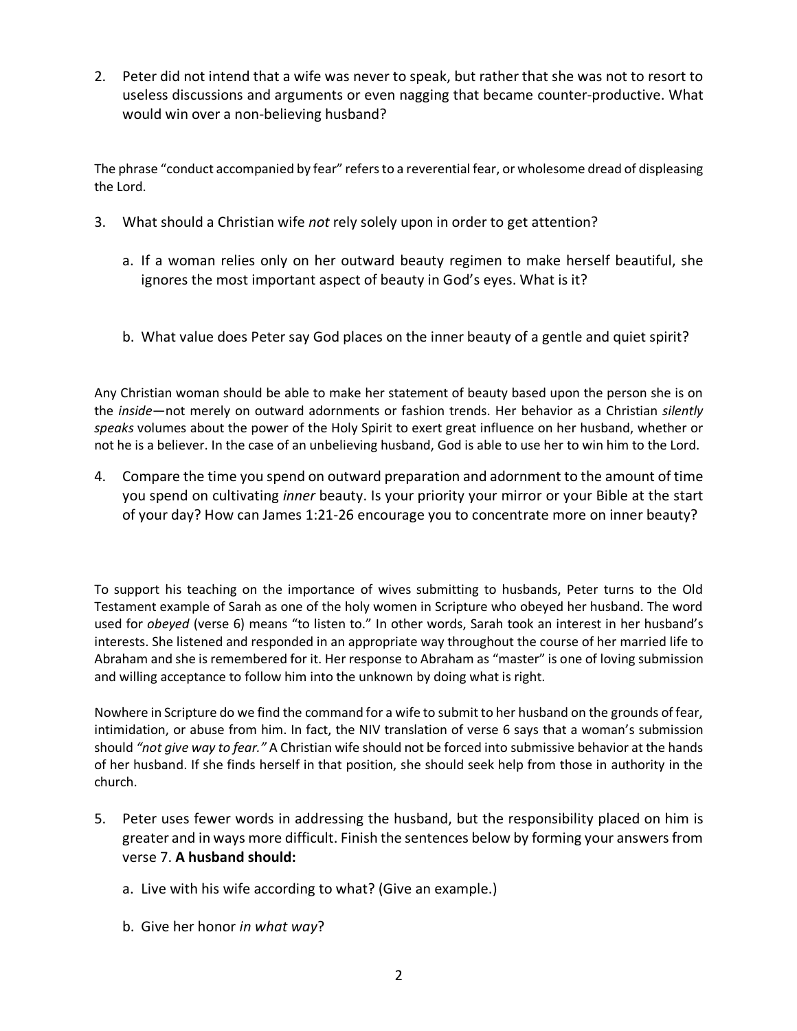2. Peter did not intend that a wife was never to speak, but rather that she was not to resort to useless discussions and arguments or even nagging that became counter-productive. What would win over a non-believing husband?

The phrase "conduct accompanied by fear" refers to a reverential fear, or wholesome dread of displeasing the Lord.

- 3. What should a Christian wife *not* rely solely upon in order to get attention?
	- a. If a woman relies only on her outward beauty regimen to make herself beautiful, she ignores the most important aspect of beauty in God's eyes. What is it?
	- b. What value does Peter say God places on the inner beauty of a gentle and quiet spirit?

Any Christian woman should be able to make her statement of beauty based upon the person she is on the *inside*—not merely on outward adornments or fashion trends. Her behavior as a Christian *silently speaks* volumes about the power of the Holy Spirit to exert great influence on her husband, whether or not he is a believer. In the case of an unbelieving husband, God is able to use her to win him to the Lord.

4. Compare the time you spend on outward preparation and adornment to the amount of time you spend on cultivating *inner* beauty. Is your priority your mirror or your Bible at the start of your day? How can James 1:21-26 encourage you to concentrate more on inner beauty?

To support his teaching on the importance of wives submitting to husbands, Peter turns to the Old Testament example of Sarah as one of the holy women in Scripture who obeyed her husband. The word used for *obeyed* (verse 6) means "to listen to." In other words, Sarah took an interest in her husband's interests. She listened and responded in an appropriate way throughout the course of her married life to Abraham and she is remembered for it. Her response to Abraham as "master" is one of loving submission and willing acceptance to follow him into the unknown by doing what is right.

Nowhere in Scripture do we find the command for a wife to submit to her husband on the grounds of fear, intimidation, or abuse from him. In fact, the NIV translation of verse 6 says that a woman's submission should *"not give way to fear."* A Christian wife should not be forced into submissive behavior at the hands of her husband. If she finds herself in that position, she should seek help from those in authority in the church.

- 5. Peter uses fewer words in addressing the husband, but the responsibility placed on him is greater and in ways more difficult. Finish the sentences below by forming your answers from verse 7. **A husband should:**
	- a. Live with his wife according to what? (Give an example.)
	- b. Give her honor *in what way*?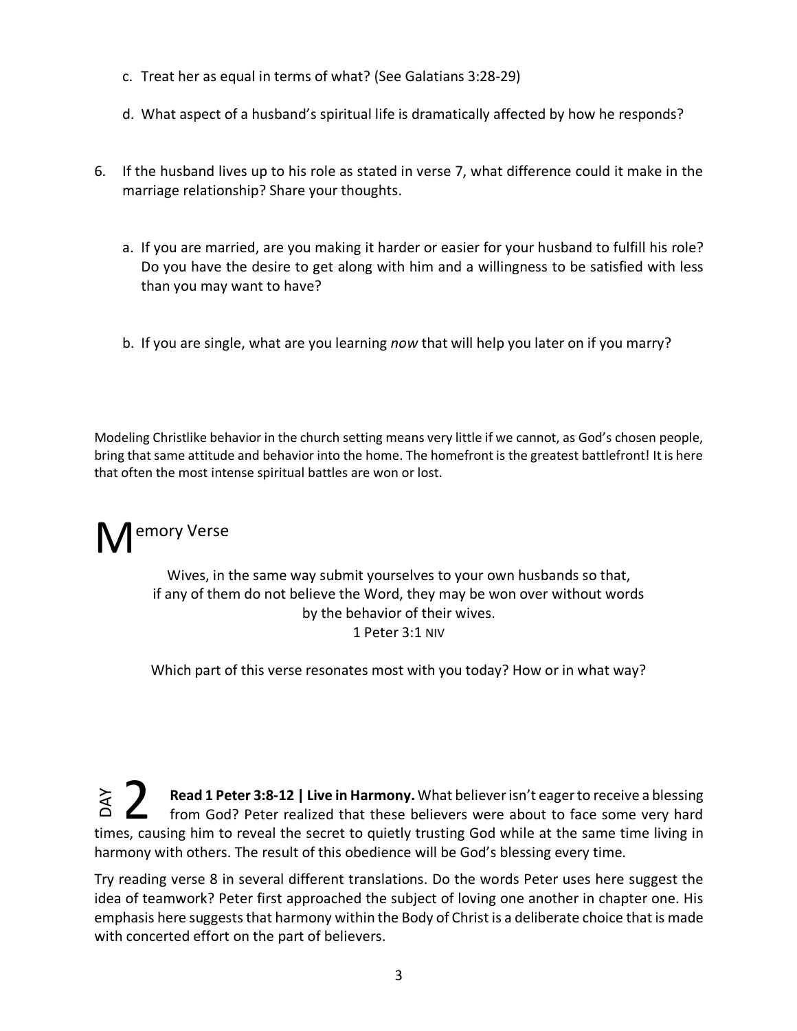- c. Treat her as equal in terms of what? (See Galatians 3:28-29)
- d. What aspect of a husband's spiritual life is dramatically affected by how he responds?
- 6. If the husband lives up to his role as stated in verse 7, what difference could it make in the marriage relationship? Share your thoughts.
	- a. If you are married, are you making it harder or easier for your husband to fulfill his role? Do you have the desire to get along with him and a willingness to be satisfied with less than you may want to have?
	- b. If you are single, what are you learning *now* that will help you later on if you marry?

Modeling Christlike behavior in the church setting means very little if we cannot, as God's chosen people, bring that same attitude and behavior into the home. The homefront is the greatest battlefront! It is here that often the most intense spiritual battles are won or lost.

M<sup>emory Verse</sup>

Wives, in the same way submit yourselves to your own husbands so that, if any of them do not believe the Word, they may be won over without words by the behavior of their wives. 1 Peter 3:1 NIV

Which part of this verse resonates most with you today? How or in what way?

**Read 1 Peter 3:8-12 | Live in Harmony.** What believer isn't eager to receive a blessing from God? Peter realized that these believers were about to face some very hard times, causing him to reveal the secret to quietly trusting God while at the same time living in harmony with others. The result of this obedience will be God's blessing every time. DAY 2

Try reading verse 8 in several different translations. Do the words Peter uses here suggest the idea of teamwork? Peter first approached the subject of loving one another in chapter one. His emphasis here suggests that harmony within the Body of Christ is a deliberate choice that is made with concerted effort on the part of believers.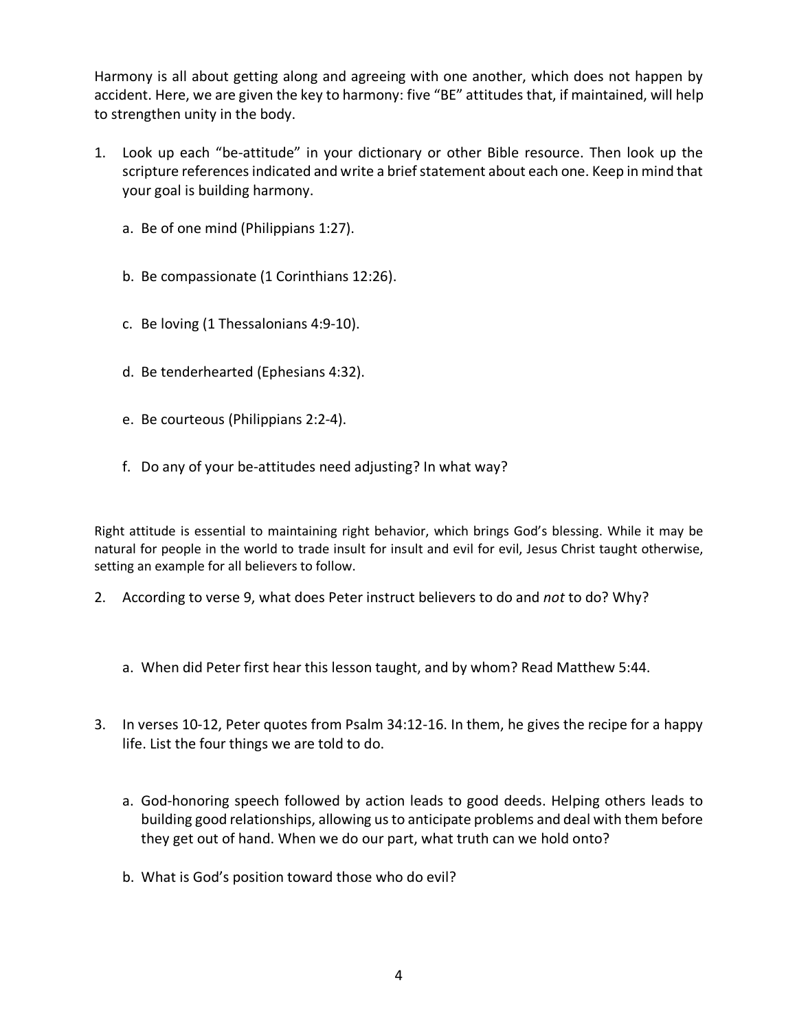Harmony is all about getting along and agreeing with one another, which does not happen by accident. Here, we are given the key to harmony: five "BE" attitudes that, if maintained, will help to strengthen unity in the body.

- 1. Look up each "be-attitude" in your dictionary or other Bible resource. Then look up the scripture references indicated and write a brief statement about each one. Keep in mind that your goal is building harmony.
	- a. Be of one mind (Philippians 1:27).
	- b. Be compassionate (1 Corinthians 12:26).
	- c. Be loving (1 Thessalonians 4:9-10).
	- d. Be tenderhearted (Ephesians 4:32).
	- e. Be courteous (Philippians 2:2-4).
	- f. Do any of your be-attitudes need adjusting? In what way?

Right attitude is essential to maintaining right behavior, which brings God's blessing. While it may be natural for people in the world to trade insult for insult and evil for evil, Jesus Christ taught otherwise, setting an example for all believers to follow.

- 2. According to verse 9, what does Peter instruct believers to do and *not* to do? Why?
	- a. When did Peter first hear this lesson taught, and by whom? Read Matthew 5:44.
- 3. In verses 10-12, Peter quotes from Psalm 34:12-16. In them, he gives the recipe for a happy life. List the four things we are told to do.
	- a. God-honoring speech followed by action leads to good deeds. Helping others leads to building good relationships, allowing us to anticipate problems and deal with them before they get out of hand. When we do our part, what truth can we hold onto?
	- b. What is God's position toward those who do evil?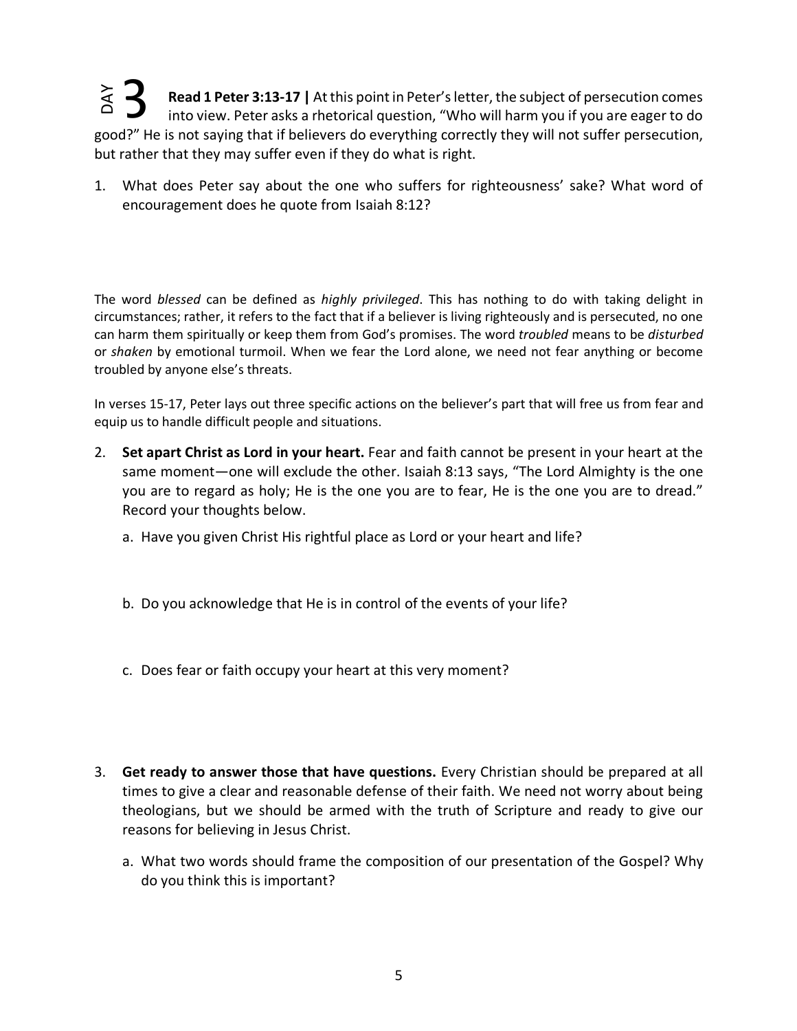**Read 1 Peter 3:13-17 |** At this point in Peter's letter, the subject of persecution comes into view. Peter asks a rhetorical question, "Who will harm you if you are eager to do good?" He is not saying that if believers do everything correctly they will not suffer persecution, but rather that they may suffer even if they do what is right. **YAY** 3

1. What does Peter say about the one who suffers for righteousness' sake? What word of encouragement does he quote from Isaiah 8:12?

The word *blessed* can be defined as *highly privileged*. This has nothing to do with taking delight in circumstances; rather, it refers to the fact that if a believer is living righteously and is persecuted, no one can harm them spiritually or keep them from God's promises. The word *troubled* means to be *disturbed* or *shaken* by emotional turmoil. When we fear the Lord alone, we need not fear anything or become troubled by anyone else's threats.

In verses 15-17, Peter lays out three specific actions on the believer's part that will free us from fear and equip us to handle difficult people and situations.

- 2. **Set apart Christ as Lord in your heart.** Fear and faith cannot be present in your heart at the same moment—one will exclude the other. Isaiah 8:13 says, "The Lord Almighty is the one you are to regard as holy; He is the one you are to fear, He is the one you are to dread." Record your thoughts below.
	- a. Have you given Christ His rightful place as Lord or your heart and life?
	- b. Do you acknowledge that He is in control of the events of your life?
	- c. Does fear or faith occupy your heart at this very moment?
- 3. **Get ready to answer those that have questions.** Every Christian should be prepared at all times to give a clear and reasonable defense of their faith. We need not worry about being theologians, but we should be armed with the truth of Scripture and ready to give our reasons for believing in Jesus Christ.
	- a. What two words should frame the composition of our presentation of the Gospel? Why do you think this is important?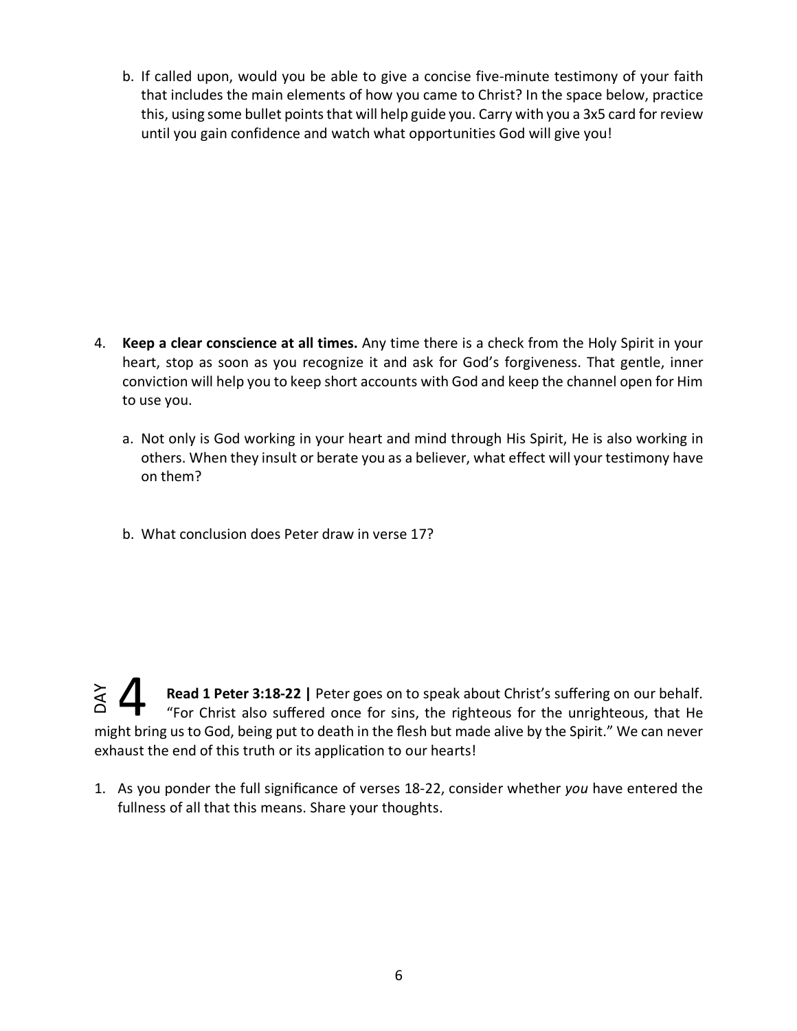b. If called upon, would you be able to give a concise five-minute testimony of your faith that includes the main elements of how you came to Christ? In the space below, practice this, using some bullet points that will help guide you. Carry with you a 3x5 card for review until you gain confidence and watch what opportunities God will give you!

- 4. **Keep a clear conscience at all times.** Any time there is a check from the Holy Spirit in your heart, stop as soon as you recognize it and ask for God's forgiveness. That gentle, inner conviction will help you to keep short accounts with God and keep the channel open for Him to use you.
	- a. Not only is God working in your heart and mind through His Spirit, He is also working in others. When they insult or berate you as a believer, what effect will your testimony have on them?
	- b. What conclusion does Peter draw in verse 17?

**Read 1 Peter 3:18-22 |** Peter goes on to speak about Christ's suffering on our behalf. "For Christ also suffered once for sins, the righteous for the unrighteous, that He might bring us to God, being put to death in the flesh but made alive by the Spirit." We can never exhaust the end of this truth or its application to our hearts! DAY 4

1. As you ponder the full significance of verses 18-22, consider whether *you* have entered the fullness of all that this means. Share your thoughts.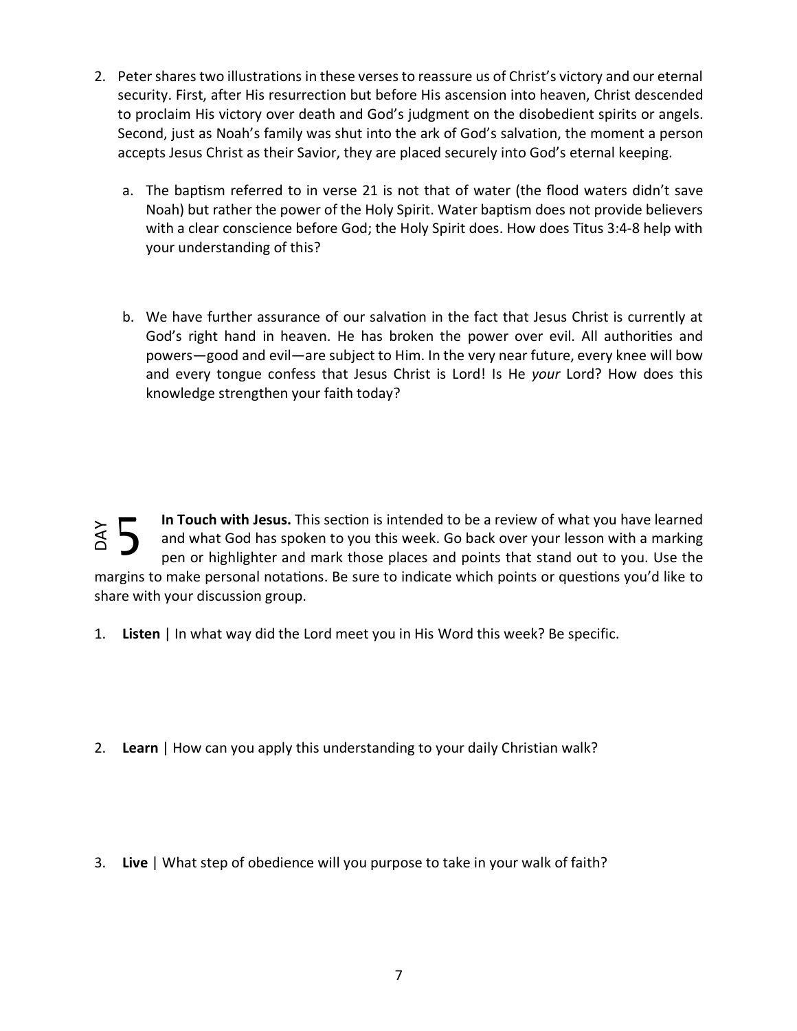- 2. Peter shares two illustrations in these verses to reassure us of Christ's victory and our eternal security. First, after His resurrection but before His ascension into heaven, Christ descended to proclaim His victory over death and God's judgment on the disobedient spirits or angels. Second, just as Noah's family was shut into the ark of God's salvation, the moment a person accepts Jesus Christ as their Savior, they are placed securely into God's eternal keeping.
	- a. The baptism referred to in verse 21 is not that of water (the flood waters didn't save Noah) but rather the power of the Holy Spirit. Water baptism does not provide believers with a clear conscience before God; the Holy Spirit does. How does Titus 3:4-8 help with your understanding of this?
	- b. We have further assurance of our salvation in the fact that Jesus Christ is currently at God's right hand in heaven. He has broken the power over evil. All authorities and powers—good and evil—are subject to Him. In the very near future, every knee will bow and every tongue confess that Jesus Christ is Lord! Is He *your* Lord? How does this knowledge strengthen your faith today?

In Touch with Jesus. This section is intended to be a review of what you have learned and what God has spoken to you this week. Go back over your lesson with a marking pen or highlighter and mark those places and points that stand out to you. Use the margins to make personal notations. Be sure to indicate which points or questions you'd like to share with your discussion group. 3. **Live** | What step of obedience will you purpose to take in your walk of faith?<br>3. **Live** | In what way did the Lord meet you in His Word this week? Be specificate with your discussion group.<br>3. **Listen** | In what way d YAC

- 1. **Listen** | In what way did the Lord meet you in His Word this week? Be specific.
- 2. **Learn** | How can you apply this understanding to your daily Christian walk?
-